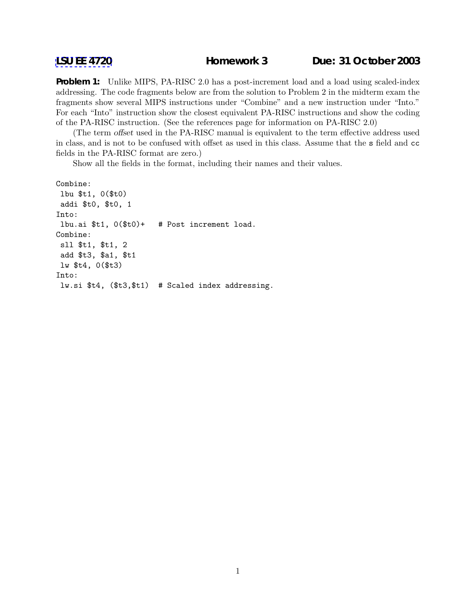**Problem 1:** Unlike MIPS, PA-RISC 2.0 has a post-increment load and a load using scaled-index addressing. The code fragments below are from the solution to Problem 2 in the midterm exam the fragments show several MIPS instructions under "Combine" and a new instruction under "Into." For each "Into" instruction show the closest equivalent PA-RISC instructions and show the coding of the PA-RISC instruction. (See the references page for information on PA-RISC 2.0)

(The term offset used in the PA-RISC manual is equivalent to the term effective address used in class, and is not to be confused with offset as used in this class. Assume that the s field and cc fields in the PA-RISC format are zero.)

Show all the fields in the format, including their names and their values.

```
Combine:
 lbu $t1, 0($t0)
 addi $t0, $t0, 1
Into:
 lbu.ai $t1, 0($t0)+ # Post increment load.
Combine:
 sll $t1, $t1, 2
add $t3, $a1, $t1
lw $t4, 0($t3)
Into:
lw.si $t4, ($t3,$t1) # Scaled index addressing.
```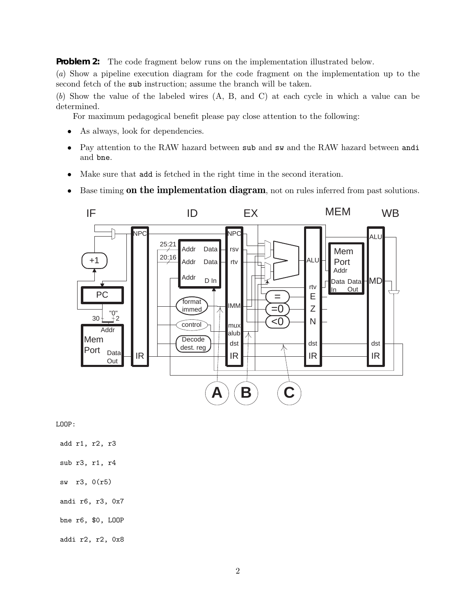**Problem 2:** The code fragment below runs on the implementation illustrated below.

(a) Show a pipeline execution diagram for the code fragment on the implementation up to the second fetch of the sub instruction; assume the branch will be taken.

(b) Show the value of the labeled wires (A, B, and C) at each cycle in which a value can be determined.

For maximum pedagogical benefit please pay close attention to the following:

- As always, look for dependencies.
- Pay attention to the RAW hazard between sub and sw and the RAW hazard between andi and bne.
- Make sure that add is fetched in the right time in the second iteration.
- Base timing **on the implementation diagram**, not on rules inferred from past solutions.



LOOP:

add r1, r2, r3

- sub r3, r1, r4
- sw r3, 0(r5)

andi r6, r3, 0x7

bne r6, \$0, LOOP

addi r2, r2, 0x8